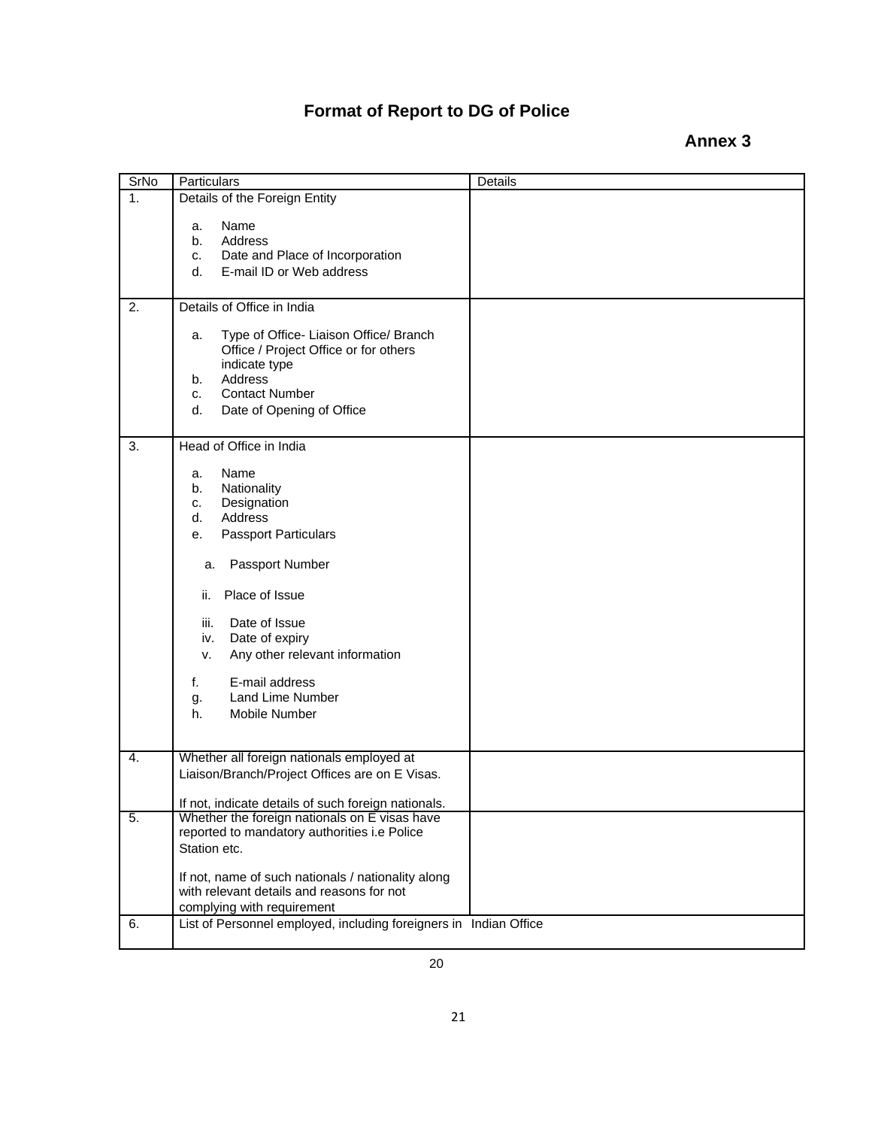## **Format of Report to DG of Police**

## **Annex 3**

| SrNo | Particulars                                                                                                                                                                                                                                                                                                                            | Details |
|------|----------------------------------------------------------------------------------------------------------------------------------------------------------------------------------------------------------------------------------------------------------------------------------------------------------------------------------------|---------|
| 1.   | Details of the Foreign Entity                                                                                                                                                                                                                                                                                                          |         |
|      | Name<br>а.<br>Address<br>b.<br>Date and Place of Incorporation<br>c.<br>E-mail ID or Web address<br>d.                                                                                                                                                                                                                                 |         |
| 2.   | Details of Office in India                                                                                                                                                                                                                                                                                                             |         |
|      | Type of Office- Liaison Office/ Branch<br>a.<br>Office / Project Office or for others<br>indicate type<br>Address<br>b.<br><b>Contact Number</b><br>c.<br>d.<br>Date of Opening of Office                                                                                                                                              |         |
| 3.   | Head of Office in India                                                                                                                                                                                                                                                                                                                |         |
|      | Name<br>a.<br>Nationality<br>b.<br>Designation<br>C.<br>Address<br>d.<br><b>Passport Particulars</b><br>е.<br>Passport Number<br>a.<br>Place of Issue<br>ii.<br>Date of Issue<br>iii.<br>Date of expiry<br>iv.<br>Any other relevant information<br>v.<br>E-mail address<br>f.<br><b>Land Lime Number</b><br>g.<br>h.<br>Mobile Number |         |
| 4.   | Whether all foreign nationals employed at<br>Liaison/Branch/Project Offices are on E Visas.                                                                                                                                                                                                                                            |         |
| 5.   | If not, indicate details of such foreign nationals.<br>Whether the foreign nationals on E visas have                                                                                                                                                                                                                                   |         |
| 6.   | reported to mandatory authorities i.e Police<br>Station etc.<br>If not, name of such nationals / nationality along<br>with relevant details and reasons for not<br>complying with requirement<br>List of Personnel employed, including foreigners in Indian Office                                                                     |         |
|      |                                                                                                                                                                                                                                                                                                                                        |         |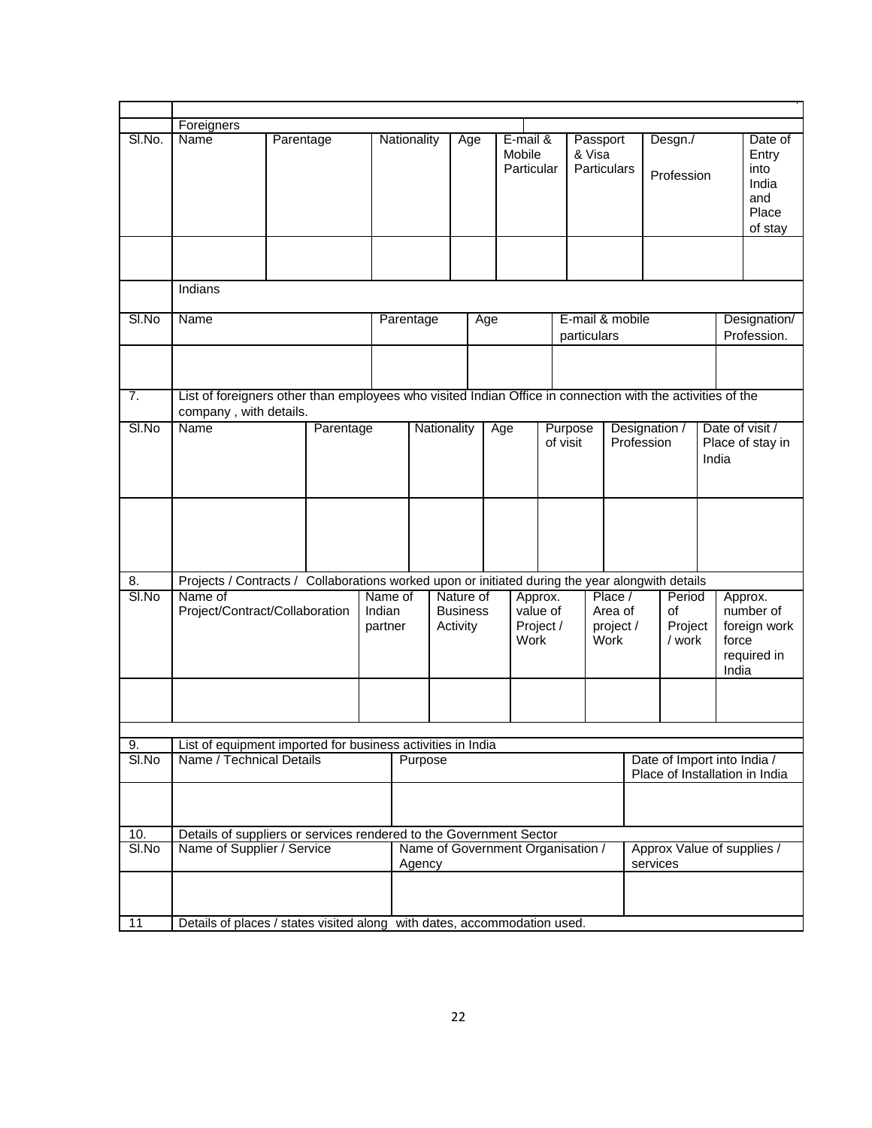|             | Foreigners                                                                                                                           |                                                                                                    |           |                   |             |                                             |                                          |                                  |                                          |                                                               |                                         |                             |                                        |                                              |                |                                                              |  |
|-------------|--------------------------------------------------------------------------------------------------------------------------------------|----------------------------------------------------------------------------------------------------|-----------|-------------------|-------------|---------------------------------------------|------------------------------------------|----------------------------------|------------------------------------------|---------------------------------------------------------------|-----------------------------------------|-----------------------------|----------------------------------------|----------------------------------------------|----------------|--------------------------------------------------------------|--|
| SI.No.      | Name                                                                                                                                 |                                                                                                    | Parentage |                   | Nationality |                                             | Age                                      | E-mail &<br>Mobile<br>Particular |                                          | Passport<br>& Visa<br>Particulars                             |                                         |                             | Desgn./<br>Profession                  |                                              |                | Date of<br>Entry<br>into<br>India<br>and<br>Place<br>of stay |  |
|             |                                                                                                                                      |                                                                                                    |           |                   |             |                                             |                                          |                                  |                                          |                                                               |                                         |                             |                                        |                                              |                |                                                              |  |
|             | Indians                                                                                                                              |                                                                                                    |           |                   |             |                                             |                                          |                                  |                                          |                                                               |                                         |                             |                                        |                                              |                |                                                              |  |
| $SI$ . No   | Name                                                                                                                                 |                                                                                                    |           |                   | Parentage   |                                             | Age                                      |                                  |                                          | E-mail & mobile<br>particulars                                |                                         |                             |                                        |                                              |                | Designation/<br>Profession.                                  |  |
|             |                                                                                                                                      |                                                                                                    |           |                   |             |                                             |                                          |                                  |                                          |                                                               |                                         |                             |                                        |                                              |                |                                                              |  |
| 7.          | List of foreigners other than employees who visited Indian Office in connection with the activities of the<br>company, with details. |                                                                                                    |           |                   |             |                                             |                                          |                                  |                                          |                                                               |                                         |                             |                                        |                                              |                |                                                              |  |
| SI.No       | Name                                                                                                                                 |                                                                                                    | Parentage |                   | Nationality |                                             |                                          | Age                              |                                          | Purpose<br>of visit                                           |                                         | Designation /<br>Profession |                                        | Date of visit /<br>Place of stay in<br>India |                |                                                              |  |
|             |                                                                                                                                      |                                                                                                    |           |                   |             |                                             |                                          |                                  |                                          |                                                               |                                         |                             |                                        |                                              |                |                                                              |  |
| 8.          | Projects / Contracts / Collaborations worked upon or initiated during the year alongwith details                                     |                                                                                                    |           |                   |             |                                             |                                          |                                  |                                          |                                                               |                                         |                             |                                        |                                              |                |                                                              |  |
| SI.No       | Name of                                                                                                                              | Project/Contract/Collaboration                                                                     |           | Indian<br>partner | Name of     |                                             | Nature of<br><b>Business</b><br>Activity |                                  | Approx.<br>value of<br>Project /<br>Work |                                                               | Place /<br>Area of<br>project /<br>Work |                             | Period<br>of<br>Project<br>/ work      |                                              | force<br>India | Approx.<br>number of<br>foreign work<br>required in          |  |
|             |                                                                                                                                      |                                                                                                    |           |                   |             |                                             |                                          |                                  |                                          |                                                               |                                         |                             |                                        |                                              |                |                                                              |  |
|             |                                                                                                                                      |                                                                                                    |           |                   |             |                                             |                                          |                                  |                                          |                                                               |                                         |                             |                                        |                                              |                |                                                              |  |
| 9.<br>SI.No |                                                                                                                                      | List of equipment imported for business activities in India<br>Name / Technical Details<br>Purpose |           |                   |             |                                             |                                          |                                  |                                          | Date of Import into India /<br>Place of Installation in India |                                         |                             |                                        |                                              |                |                                                              |  |
|             |                                                                                                                                      |                                                                                                    |           |                   |             |                                             |                                          |                                  |                                          |                                                               |                                         |                             |                                        |                                              |                |                                                              |  |
| 10.         | Details of suppliers or services rendered to the Government Sector                                                                   |                                                                                                    |           |                   |             |                                             |                                          |                                  |                                          |                                                               |                                         |                             |                                        |                                              |                |                                                              |  |
| SI.No       |                                                                                                                                      | Name of Supplier / Service                                                                         |           |                   |             | Name of Government Organisation /<br>Agency |                                          |                                  |                                          |                                                               |                                         |                             | Approx Value of supplies /<br>services |                                              |                |                                                              |  |
|             |                                                                                                                                      |                                                                                                    |           |                   |             |                                             |                                          |                                  |                                          |                                                               |                                         |                             |                                        |                                              |                |                                                              |  |
| 11          | Details of places / states visited along with dates, accommodation used.                                                             |                                                                                                    |           |                   |             |                                             |                                          |                                  |                                          |                                                               |                                         |                             |                                        |                                              |                |                                                              |  |